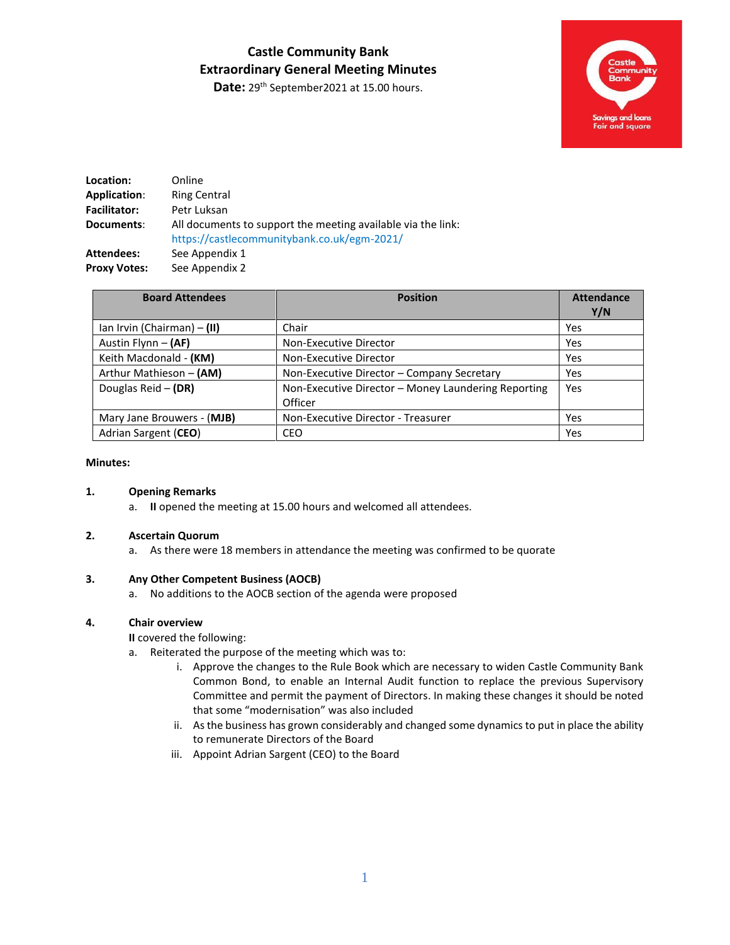## **Castle Community Bank Extraordinary General Meeting Minutes**

Date: 29<sup>th</sup> September2021 at 15.00 hours.



| Location:           | Online                                                                                                      |
|---------------------|-------------------------------------------------------------------------------------------------------------|
| Application:        | <b>Ring Central</b>                                                                                         |
| <b>Facilitator:</b> | Petr Luksan                                                                                                 |
| Documents:          | All documents to support the meeting available via the link:<br>https://castlecommunitybank.co.uk/egm-2021/ |
| Attendees:          | See Appendix 1                                                                                              |
| <b>Proxy Votes:</b> | See Appendix 2                                                                                              |

| <b>Board Attendees</b>      | <b>Position</b>                                                | <b>Attendance</b><br>Y/N |
|-----------------------------|----------------------------------------------------------------|--------------------------|
| lan Irvin (Chairman) – (II) | Chair                                                          | Yes                      |
| Austin Flynn - (AF)         | Non-Executive Director                                         | Yes                      |
| Keith Macdonald - (KM)      | Non-Executive Director                                         | Yes                      |
| Arthur Mathieson - (AM)     | Non-Executive Director - Company Secretary                     | Yes                      |
| Douglas Reid $-$ (DR)       | Non-Executive Director - Money Laundering Reporting<br>Officer | Yes                      |
| Mary Jane Brouwers - (MJB)  | Non-Executive Director - Treasurer                             | Yes                      |
| Adrian Sargent (CEO)        | CEO                                                            | Yes                      |

#### **Minutes:**

#### **1. Opening Remarks**

a. **II** opened the meeting at 15.00 hours and welcomed all attendees.

#### **2. Ascertain Quorum**

a. As there were 18 members in attendance the meeting was confirmed to be quorate

#### **3. Any Other Competent Business (AOCB)**

a. No additions to the AOCB section of the agenda were proposed

#### **4. Chair overview**

**II** covered the following:

- a. Reiterated the purpose of the meeting which was to:
	- i. Approve the changes to the Rule Book which are necessary to widen Castle Community Bank Common Bond, to enable an Internal Audit function to replace the previous Supervisory Committee and permit the payment of Directors. In making these changes it should be noted that some "modernisation" was also included
	- ii. As the business has grown considerably and changed some dynamics to put in place the ability to remunerate Directors of the Board
	- iii. Appoint Adrian Sargent (CEO) to the Board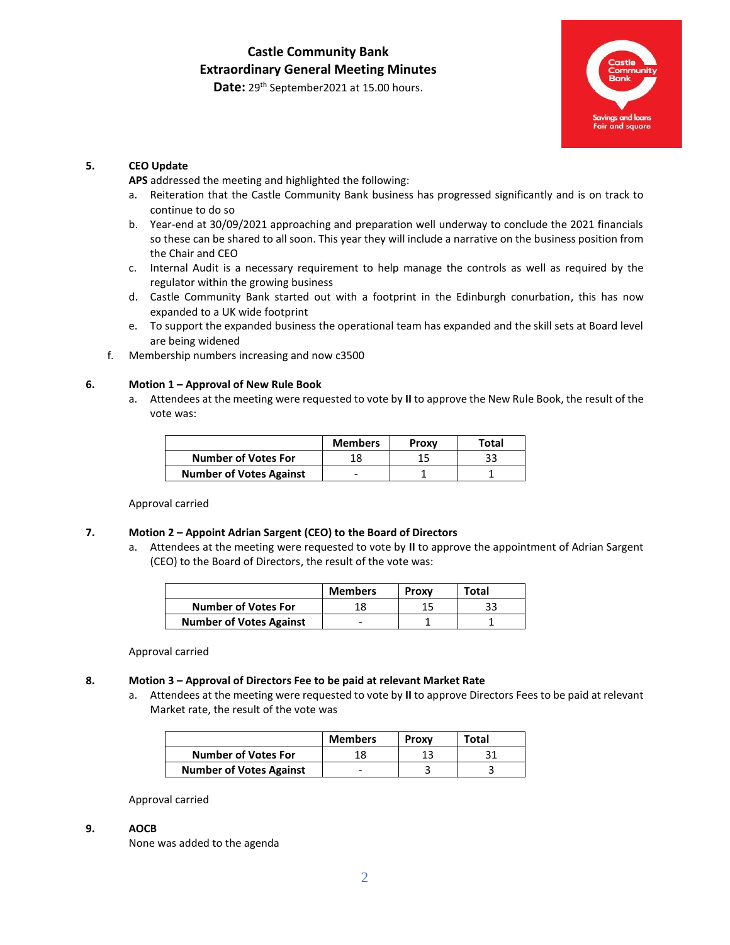### Date: 29<sup>th</sup> September2021 at 15.00 hours.

#### **5. CEO Update**

**APS** addressed the meeting and highlighted the following:

- a. Reiteration that the Castle Community Bank business has progressed significantly and is on track to continue to do so
- b. Year-end at 30/09/2021 approaching and preparation well underway to conclude the 2021 financials so these can be shared to all soon. This year they will include a narrative on the business position from the Chair and CEO
- c. Internal Audit is a necessary requirement to help manage the controls as well as required by the regulator within the growing business
- d. Castle Community Bank started out with a footprint in the Edinburgh conurbation, this has now expanded to a UK wide footprint
- e. To support the expanded business the operational team has expanded and the skill sets at Board level are being widened
- f. Membership numbers increasing and now c3500

#### **6. Motion 1 – Approval of New Rule Book**

a. Attendees at the meeting were requested to vote by **II** to approve the New Rule Book, the result of the vote was:

|                                | <b>Members</b> | Proxy | Total |
|--------------------------------|----------------|-------|-------|
| <b>Number of Votes For</b>     |                |       |       |
| <b>Number of Votes Against</b> |                |       |       |

Approval carried

#### **7. Motion 2 – Appoint Adrian Sargent (CEO) to the Board of Directors**

a. Attendees at the meeting were requested to vote by **II** to approve the appointment of Adrian Sargent (CEO) to the Board of Directors, the result of the vote was:

|                                | <b>Members</b> | Proxy | Total |
|--------------------------------|----------------|-------|-------|
| <b>Number of Votes For</b>     | 18             |       |       |
| <b>Number of Votes Against</b> |                |       |       |

Approval carried

#### **8. Motion 3 – Approval of Directors Fee to be paid at relevant Market Rate**

a. Attendees at the meeting were requested to vote by **II** to approve Directors Fees to be paid at relevant Market rate, the result of the vote was

|                                | <b>Members</b> | Proxy | Total |
|--------------------------------|----------------|-------|-------|
| <b>Number of Votes For</b>     | 18             |       |       |
| <b>Number of Votes Against</b> | -              |       |       |

Approval carried

#### **9. AOCB**

None was added to the agenda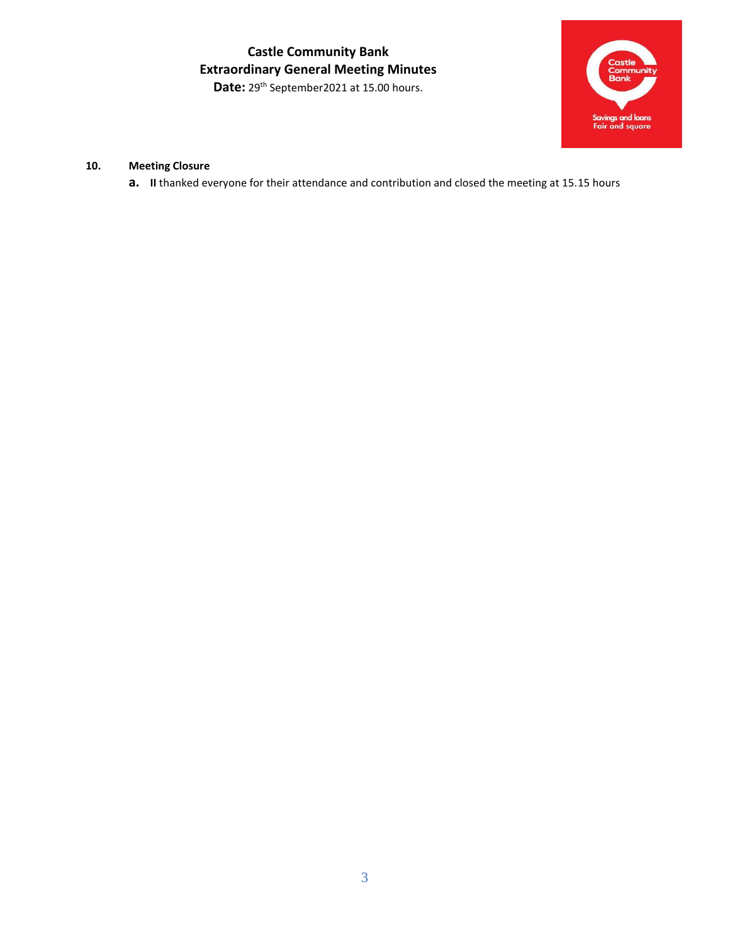**Castle Community Bank Extraordinary General Meeting Minutes**  Date: 29<sup>th</sup> September2021 at 15.00 hours.



## **10. Meeting Closure**

**a. II** thanked everyone for their attendance and contribution and closed the meeting at 15.15 hours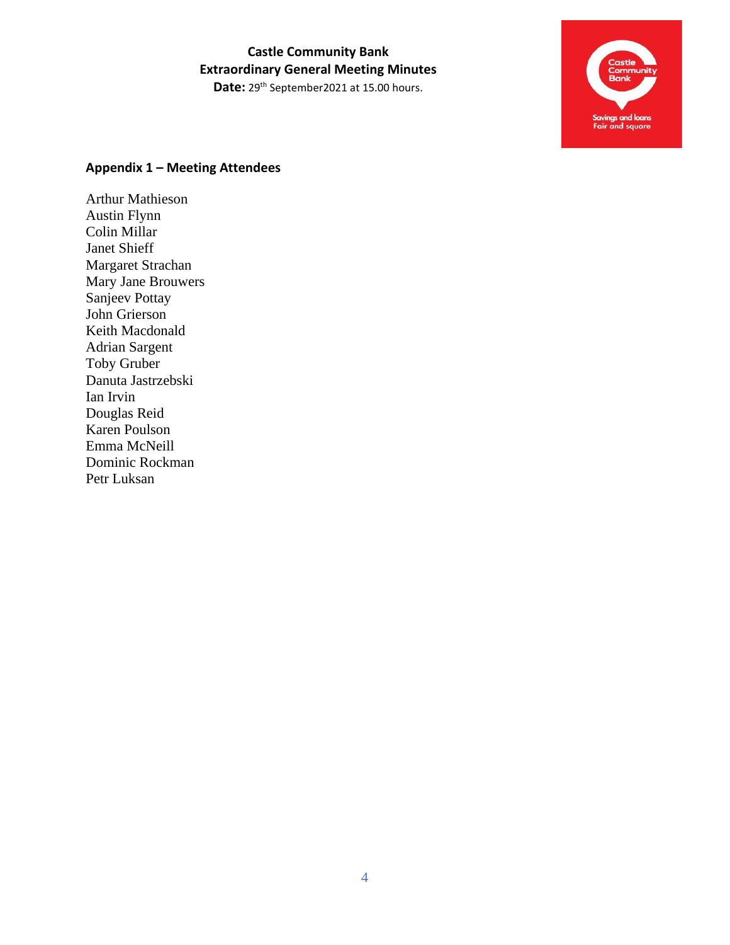# **Castle Community Bank Extraordinary General Meeting Minutes**

Date: 29<sup>th</sup> September2021 at 15.00 hours.



## **Appendix 1 – Meeting Attendees**

Arthur Mathieson Austin Flynn Colin Millar Janet Shieff Margaret Strachan Mary Jane Brouwers Sanjeev Pottay John Grierson Keith Macdonald Adrian Sargent Toby Gruber Danuta Jastrzebski Ian Irvin Douglas Reid Karen Poulson Emma McNeill Dominic Rockman Petr Luksan